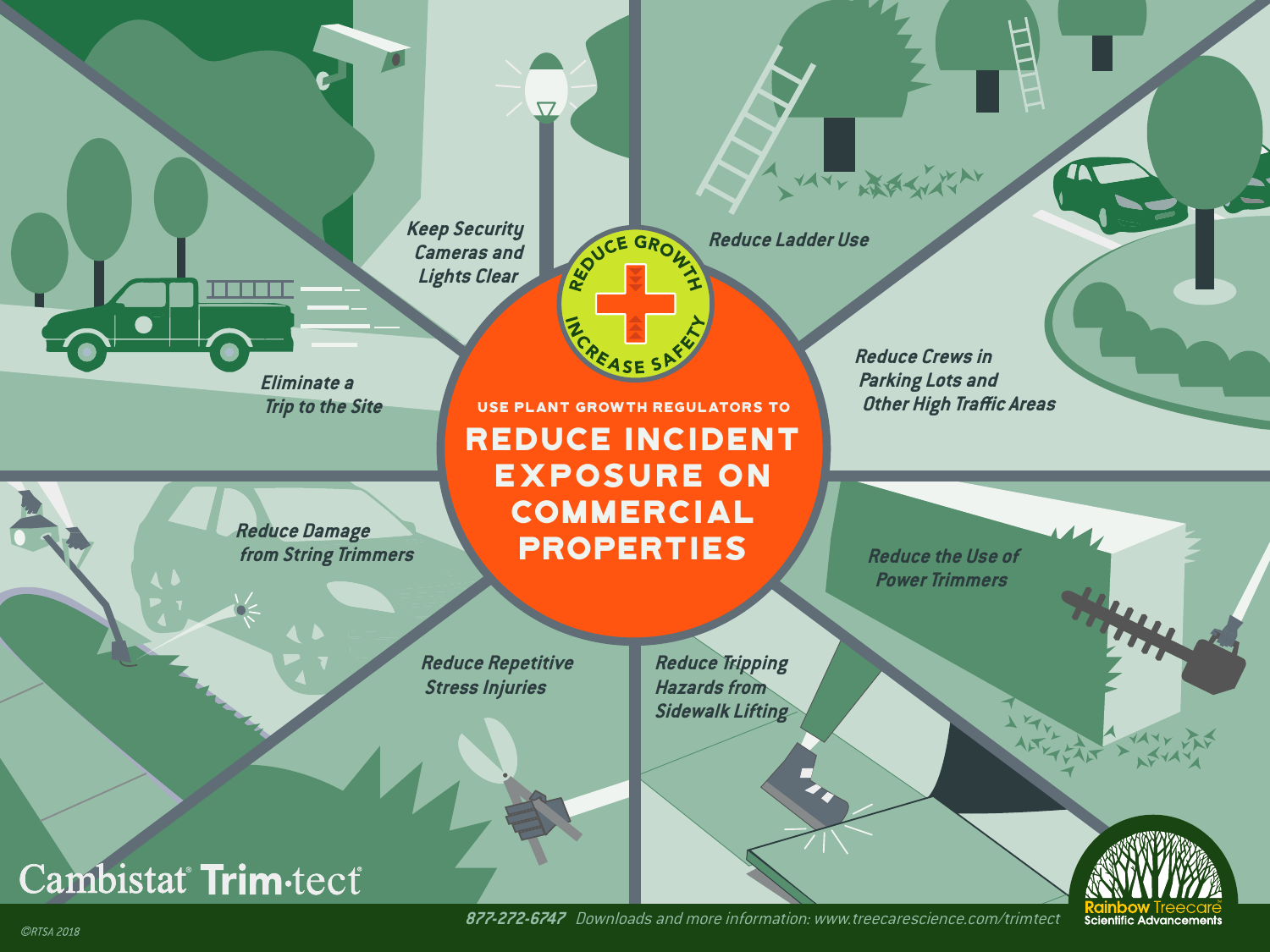**Keep Security Cameras and Lights Clear**

 $\overline{\nabla}$ 

RE ORON **Reduce Ladder Use**

**Eliminate a Trip to the Site**

**Reduce Damage**

Reduce Incident Exposure on **COMMERCIAL PROPERTIES** USe Plant growth regulators to

 **from String Trimmers**

**Reduce Repetitive Stress Injuries**

**Reduce Crews in Parking Lots and Other High Traffic Areas**

VATY MARY WAY

**Reduce the Use of Power Trimmers**

**Reduce Tripping Hazards from Sidewalk Lifting**



 **877-272-6747** Downloads and more information: www.treecarescience.com/trimtect

**ORTSA 2018** 

Cambistat Trim-tect